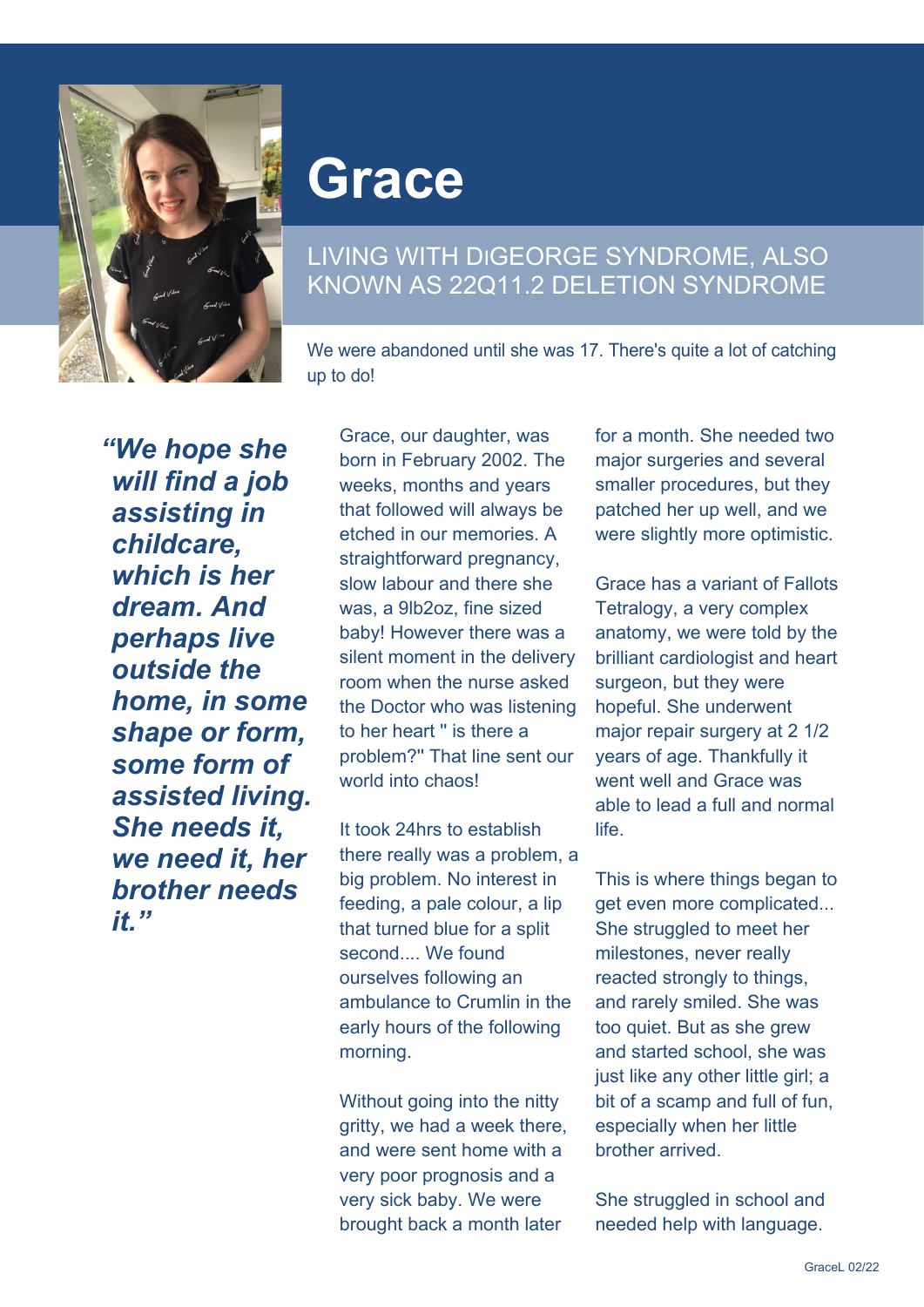

## **Grace**

## LIVING WITH DIGEORGE SYNDROME, ALSO KNOWN AS 22Q11.2 DELETION SYNDROME

We were abandoned until she was 17. There's quite a lot of catching up to do!

*"We hope she will find a job assisting in childcare, which is her dream. And perhaps live outside the home, in some shape or form, some form of assisted living. She needs it, we need it, her brother needs it."*

Grace, our daughter, was born in February 2002. The weeks, months and years that followed will always be etched in our memories. A straightforward pregnancy, slow labour and there she was, a 9lb2oz, fine sized baby! However there was a silent moment in the delivery room when the nurse asked the Doctor who was listening to her heart '' is there a problem?'' That line sent our world into chaos!

It took 24hrs to establish there really was a problem, a big problem. No interest in feeding, a pale colour, a lip that turned blue for a split second.... We found ourselves following an ambulance to Crumlin in the early hours of the following morning.

Without going into the nitty gritty, we had a week there, and were sent home with a very poor prognosis and a very sick baby. We were brought back a month later

for a month. She needed two major surgeries and several smaller procedures, but they patched her up well, and we were slightly more optimistic.

Grace has a variant of Fallots Tetralogy, a very complex anatomy, we were told by the brilliant cardiologist and heart surgeon, but they were hopeful. She underwent major repair surgery at 2 1/2 years of age. Thankfully it went well and Grace was able to lead a full and normal **life** 

This is where things began to get even more complicated... She struggled to meet her milestones, never really reacted strongly to things, and rarely smiled. She was too quiet. But as she grew and started school, she was just like any other little girl; a bit of a scamp and full of fun, especially when her little brother arrived.

She struggled in school and needed help with language.